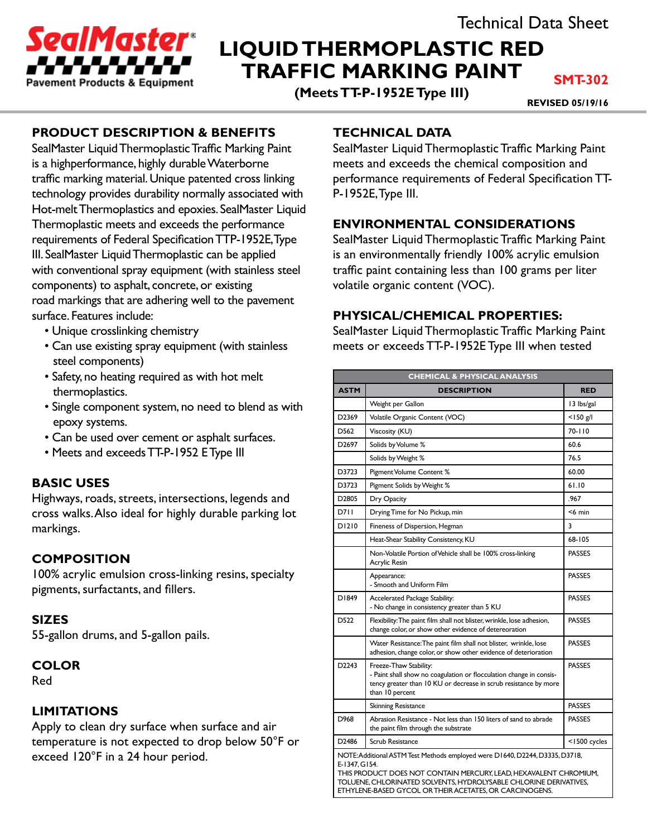

# **LIQUID THERMOPLASTIC RED TRAFFIC MARKING PAINT**

**(Meets TT-P-1952E Type III)**

**SMT-302**

**REVISED 05/19/16**

# **PRODUCT DESCRIPTION & BENEFITS**

SealMaster Liquid Thermoplastic Traffic Marking Paint is a highperformance, highly durable Waterborne traffic marking material. Unique patented cross linking technology provides durability normally associated with Hot-melt Thermoplastics and epoxies. SealMaster Liquid Thermoplastic meets and exceeds the performance requirements of Federal Specification TTP-1952E, Type III. SealMaster Liquid Thermoplastic can be applied with conventional spray equipment (with stainless steel components) to asphalt, concrete, or existing road markings that are adhering well to the pavement surface. Features include:

- Unique crosslinking chemistry
- Can use existing spray equipment (with stainless steel components)
- Safety, no heating required as with hot melt thermoplastics.
- Single component system, no need to blend as with epoxy systems.
- Can be used over cement or asphalt surfaces.
- Meets and exceeds TT-P-1952 E Type III

# **BASIC USES**

Highways, roads, streets, intersections, legends and cross walks. Also ideal for highly durable parking lot markings.

# **COMPOSITION**

100% acrylic emulsion cross-linking resins, specialty pigments, surfactants, and fillers.

### **SIZES**

55-gallon drums, and 5-gallon pails.

### **COLOR**

Red

### **LIMITATIONS**

Apply to clean dry surface when surface and air temperature is not expected to drop below 50°F or exceed 120°F in a 24 hour period.

# **TECHNICAL DATA**

SealMaster Liquid Thermoplastic Traffic Marking Paint meets and exceeds the chemical composition and performance requirements of Federal Specification TT-P-1952E, Type III.

### **ENVIRONMENTAL CONSIDERATIONS**

SealMaster Liquid Thermoplastic Traffic Marking Paint is an environmentally friendly 100% acrylic emulsion traffic paint containing less than 100 grams per liter volatile organic content (VOC).

### **PHYSICAL/CHEMICAL PROPERTIES:**

SealMaster Liquid Thermoplastic Traffic Marking Paint meets or exceeds TT-P-1952E Type III when tested

| <b>CHEMICAL &amp; PHYSICAL ANALYSIS</b>                                                                                                                                                                                                                                                            |                                                                                                                                                                                      |               |
|----------------------------------------------------------------------------------------------------------------------------------------------------------------------------------------------------------------------------------------------------------------------------------------------------|--------------------------------------------------------------------------------------------------------------------------------------------------------------------------------------|---------------|
| <b>ASTM</b>                                                                                                                                                                                                                                                                                        | <b>DESCRIPTION</b>                                                                                                                                                                   | <b>RED</b>    |
|                                                                                                                                                                                                                                                                                                    | Weight per Gallon                                                                                                                                                                    | 13 lbs/gal    |
| D <sub>2369</sub>                                                                                                                                                                                                                                                                                  | Volatile Organic Content (VOC)                                                                                                                                                       | $<$ 150 g/l   |
| D562                                                                                                                                                                                                                                                                                               | Viscosity (KU)                                                                                                                                                                       | $70 - 110$    |
| D <sub>2697</sub>                                                                                                                                                                                                                                                                                  | Solids by Volume %                                                                                                                                                                   | 60.6          |
|                                                                                                                                                                                                                                                                                                    | Solids by Weight %                                                                                                                                                                   | 76.5          |
| D3723                                                                                                                                                                                                                                                                                              | Pigment Volume Content %                                                                                                                                                             | 60.00         |
| D3723                                                                                                                                                                                                                                                                                              | Pigment Solids by Weight %                                                                                                                                                           | 61.10         |
| D <sub>2805</sub>                                                                                                                                                                                                                                                                                  | Dry Opacity                                                                                                                                                                          | .967          |
| D711                                                                                                                                                                                                                                                                                               | Drying Time for No Pickup, min                                                                                                                                                       | $<$ 6 min     |
| D1210                                                                                                                                                                                                                                                                                              | Fineness of Dispersion, Hegman                                                                                                                                                       | 3             |
|                                                                                                                                                                                                                                                                                                    | Heat-Shear Stability Consistency, KU                                                                                                                                                 | 68-105        |
|                                                                                                                                                                                                                                                                                                    | Non-Volatile Portion of Vehicle shall be 100% cross-linking<br>Acrylic Resin                                                                                                         | <b>PASSES</b> |
|                                                                                                                                                                                                                                                                                                    | Appearance:<br>- Smooth and Uniform Film                                                                                                                                             | <b>PASSES</b> |
| D1849                                                                                                                                                                                                                                                                                              | Accelerated Package Stability:<br>- No change in consistency greater than 5 KU                                                                                                       | <b>PASSES</b> |
| D522                                                                                                                                                                                                                                                                                               | Flexibility: The paint film shall not blister, wrinkle, lose adhesion,<br>change color, or show other evidence of detereoration                                                      | <b>PASSES</b> |
|                                                                                                                                                                                                                                                                                                    | Water Resistance: The paint film shall not blister, wrinkle, lose<br>adhesion, change color, or show other evidence of deterioration                                                 | <b>PASSES</b> |
| D2243                                                                                                                                                                                                                                                                                              | Freeze-Thaw Stability:<br>- Paint shall show no coagulation or flocculation change in consis-<br>tency greater than 10 KU or decrease in scrub resistance by more<br>than 10 percent | <b>PASSES</b> |
|                                                                                                                                                                                                                                                                                                    | <b>Skinning Resistance</b>                                                                                                                                                           | <b>PASSES</b> |
| D968                                                                                                                                                                                                                                                                                               | Abrasion Resistance - Not less than 150 liters of sand to abrade<br>the paint film through the substrate                                                                             | <b>PASSES</b> |
| D2486                                                                                                                                                                                                                                                                                              | <b>Scrub Resistance</b>                                                                                                                                                              | <1500 cycles  |
| NOTE: Additional ASTM Test Methods employed were D1640, D2244, D3335, D3718,<br>E-1347, G154.<br>THIS PRODUCT DOES NOT CONTAIN MERCURY, LEAD, HEXAVALENT CHROMIUM,<br>TOLUENE, CHLORINATED SOLVENTS, HYDROLYSABLE CHLORINE DERIVATIVES,<br>ETHYLENE-BASED GYCOL OR THEIR ACETATES, OR CARCINOGENS. |                                                                                                                                                                                      |               |